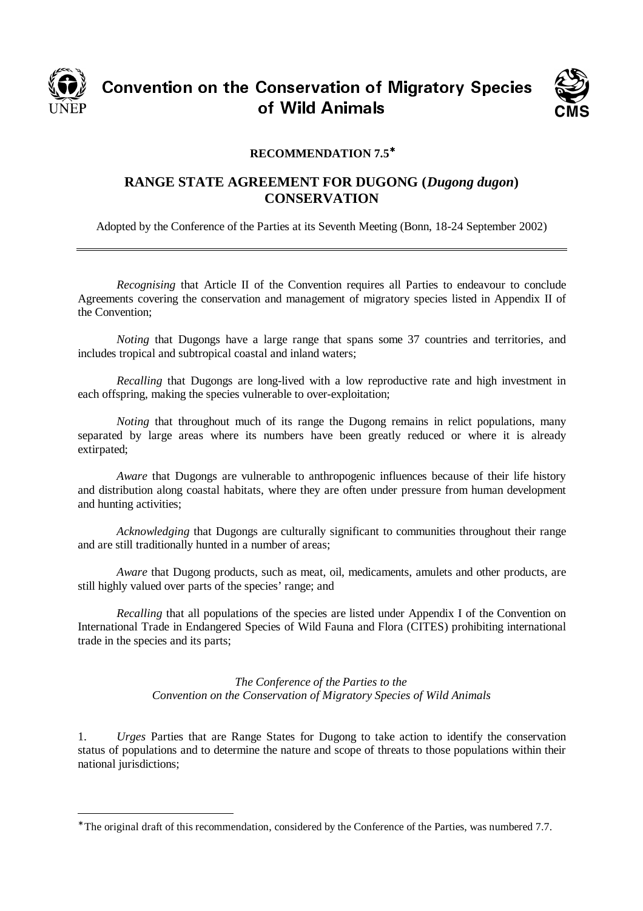

CONVENTION ON THE CONSERVATION OF MIGRACITY OPECIES nservation o<br>Mild Asimel UT YYIN ATIITIAIS



## **RECOMMENDATION 7.5**<sup>∗</sup>

## **RANGE STATE AGREEMENT FOR DUGONG (***Dugong dugon***) CONSERVATION**

Adopted by the Conference of the Parties at its Seventh Meeting (Bonn, 18-24 September 2002)

*Recognising* that Article II of the Convention requires all Parties to endeavour to conclude Agreements covering the conservation and management of migratory species listed in Appendix II of the Convention;

*Noting* that Dugongs have a large range that spans some 37 countries and territories, and includes tropical and subtropical coastal and inland waters;

*Recalling* that Dugongs are long-lived with a low reproductive rate and high investment in each offspring, making the species vulnerable to over-exploitation;

*Noting* that throughout much of its range the Dugong remains in relict populations, many separated by large areas where its numbers have been greatly reduced or where it is already extirpated;

*Aware* that Dugongs are vulnerable to anthropogenic influences because of their life history and distribution along coastal habitats, where they are often under pressure from human development and hunting activities;

*Acknowledging* that Dugongs are culturally significant to communities throughout their range and are still traditionally hunted in a number of areas;

*Aware* that Dugong products, such as meat, oil, medicaments, amulets and other products, are still highly valued over parts of the species' range; and

*Recalling* that all populations of the species are listed under Appendix I of the Convention on International Trade in Endangered Species of Wild Fauna and Flora (CITES) prohibiting international trade in the species and its parts;

> *The Conference of the Parties to the Convention on the Conservation of Migratory Species of Wild Animals*

1. *Urges* Parties that are Range States for Dugong to take action to identify the conservation status of populations and to determine the nature and scope of threats to those populations within their national jurisdictions;

<sup>∗</sup> The original draft of this recommendation, considered by the Conference of the Parties, was numbered 7.7.